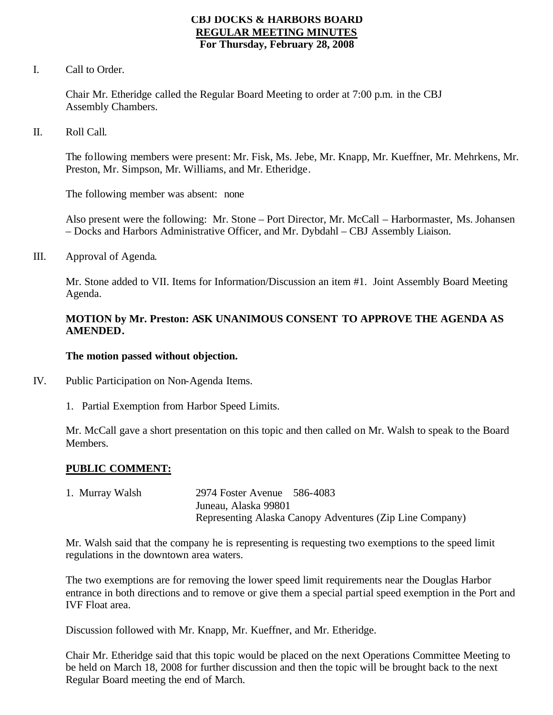# **CBJ DOCKS & HARBORS BOARD REGULAR MEETING MINUTES For Thursday, February 28, 2008**

I. Call to Order.

Chair Mr. Etheridge called the Regular Board Meeting to order at 7:00 p.m. in the CBJ Assembly Chambers.

II. Roll Call.

The following members were present: Mr. Fisk, Ms. Jebe, Mr. Knapp, Mr. Kueffner, Mr. Mehrkens, Mr. Preston, Mr. Simpson, Mr. Williams, and Mr. Etheridge.

The following member was absent: none

Also present were the following: Mr. Stone – Port Director, Mr. McCall – Harbormaster, Ms. Johansen – Docks and Harbors Administrative Officer, and Mr. Dybdahl – CBJ Assembly Liaison.

III. Approval of Agenda.

Mr. Stone added to VII. Items for Information/Discussion an item #1. Joint Assembly Board Meeting Agenda.

# **MOTION by Mr. Preston: ASK UNANIMOUS CONSENT TO APPROVE THE AGENDA AS AMENDED.**

## **The motion passed without objection.**

- IV. Public Participation on Non-Agenda Items.
	- 1. Partial Exemption from Harbor Speed Limits.

Mr. McCall gave a short presentation on this topic and then called on Mr. Walsh to speak to the Board Members.

# **PUBLIC COMMENT:**

| 1. Murray Walsh | 2974 Foster Avenue 586-4083 |                                                          |
|-----------------|-----------------------------|----------------------------------------------------------|
|                 | Juneau, Alaska 99801        |                                                          |
|                 |                             | Representing Alaska Canopy Adventures (Zip Line Company) |

Mr. Walsh said that the company he is representing is requesting two exemptions to the speed limit regulations in the downtown area waters.

The two exemptions are for removing the lower speed limit requirements near the Douglas Harbor entrance in both directions and to remove or give them a special partial speed exemption in the Port and IVF Float area.

Discussion followed with Mr. Knapp, Mr. Kueffner, and Mr. Etheridge.

Chair Mr. Etheridge said that this topic would be placed on the next Operations Committee Meeting to be held on March 18, 2008 for further discussion and then the topic will be brought back to the next Regular Board meeting the end of March.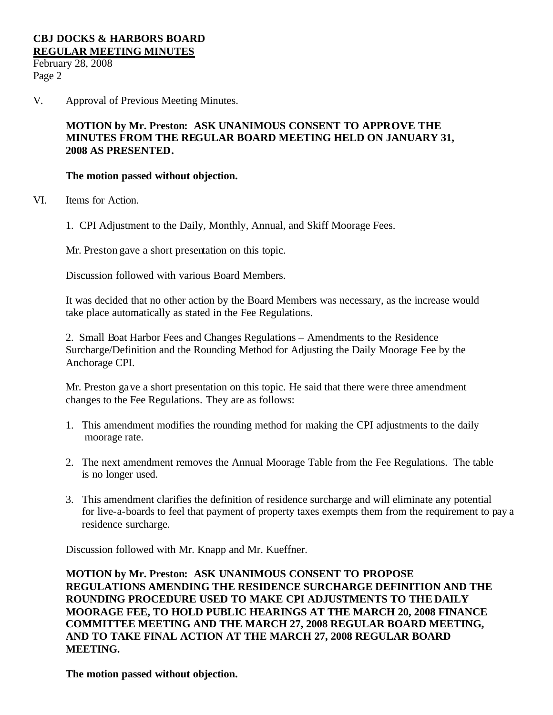February 28, 2008 Page 2

V. Approval of Previous Meeting Minutes.

# **MOTION by Mr. Preston: ASK UNANIMOUS CONSENT TO APPROVE THE MINUTES FROM THE REGULAR BOARD MEETING HELD ON JANUARY 31, 2008 AS PRESENTED.**

#### **The motion passed without objection.**

VI. Items for Action.

1. CPI Adjustment to the Daily, Monthly, Annual, and Skiff Moorage Fees.

Mr. Preston gave a short presentation on this topic.

Discussion followed with various Board Members.

It was decided that no other action by the Board Members was necessary, as the increase would take place automatically as stated in the Fee Regulations.

2. Small Boat Harbor Fees and Changes Regulations – Amendments to the Residence Surcharge/Definition and the Rounding Method for Adjusting the Daily Moorage Fee by the Anchorage CPI.

Mr. Preston gave a short presentation on this topic. He said that there were three amendment changes to the Fee Regulations. They are as follows:

- 1. This amendment modifies the rounding method for making the CPI adjustments to the daily moorage rate.
- 2. The next amendment removes the Annual Moorage Table from the Fee Regulations. The table is no longer used.
- 3. This amendment clarifies the definition of residence surcharge and will eliminate any potential for live-a-boards to feel that payment of property taxes exempts them from the requirement to pay a residence surcharge.

Discussion followed with Mr. Knapp and Mr. Kueffner.

**MOTION by Mr. Preston: ASK UNANIMOUS CONSENT TO PROPOSE REGULATIONS AMENDING THE RESIDENCE SURCHARGE DEFINITION AND THE ROUNDING PROCEDURE USED TO MAKE CPI ADJUSTMENTS TO THE DAILY MOORAGE FEE, TO HOLD PUBLIC HEARINGS AT THE MARCH 20, 2008 FINANCE COMMITTEE MEETING AND THE MARCH 27, 2008 REGULAR BOARD MEETING, AND TO TAKE FINAL ACTION AT THE MARCH 27, 2008 REGULAR BOARD MEETING.**

**The motion passed without objection.**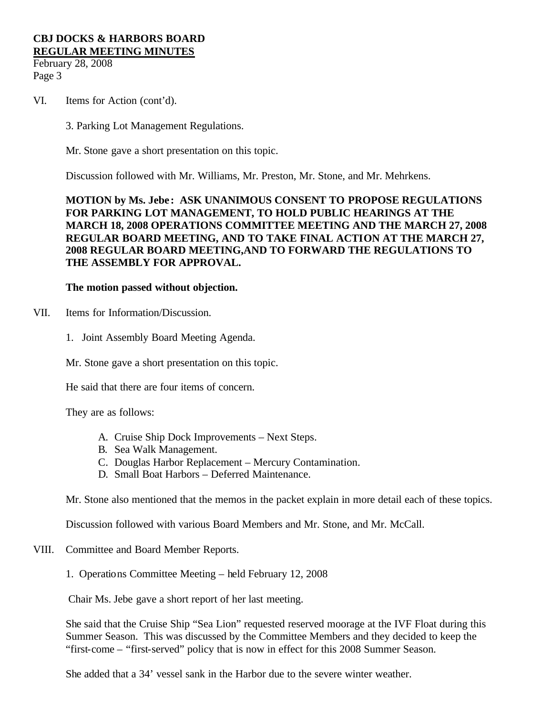February 28, 2008 Page 3

- VI. Items for Action (cont'd).
	- 3. Parking Lot Management Regulations.

Mr. Stone gave a short presentation on this topic.

Discussion followed with Mr. Williams, Mr. Preston, Mr. Stone, and Mr. Mehrkens.

**MOTION by Ms. Jebe : ASK UNANIMOUS CONSENT TO PROPOSE REGULATIONS FOR PARKING LOT MANAGEMENT, TO HOLD PUBLIC HEARINGS AT THE MARCH 18, 2008 OPERATIONS COMMITTEE MEETING AND THE MARCH 27, 2008 REGULAR BOARD MEETING, AND TO TAKE FINAL ACTION AT THE MARCH 27, 2008 REGULAR BOARD MEETING,AND TO FORWARD THE REGULATIONS TO THE ASSEMBLY FOR APPROVAL.**

#### **The motion passed without objection.**

- VII. Items for Information/Discussion.
	- 1. Joint Assembly Board Meeting Agenda.

Mr. Stone gave a short presentation on this topic.

He said that there are four items of concern.

They are as follows:

- A. Cruise Ship Dock Improvements Next Steps.
- B. Sea Walk Management.
- C. Douglas Harbor Replacement Mercury Contamination.
- D. Small Boat Harbors Deferred Maintenance.

Mr. Stone also mentioned that the memos in the packet explain in more detail each of these topics.

Discussion followed with various Board Members and Mr. Stone, and Mr. McCall.

VIII. Committee and Board Member Reports.

1. Operations Committee Meeting – held February 12, 2008

Chair Ms. Jebe gave a short report of her last meeting.

She said that the Cruise Ship "Sea Lion" requested reserved moorage at the IVF Float during this Summer Season. This was discussed by the Committee Members and they decided to keep the "first-come – "first-served" policy that is now in effect for this 2008 Summer Season.

She added that a 34' vessel sank in the Harbor due to the severe winter weather.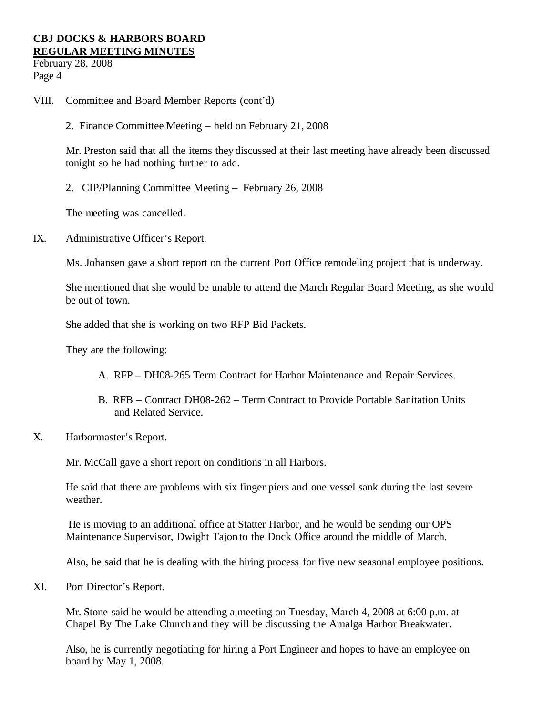February 28, 2008 Page 4

- VIII. Committee and Board Member Reports (cont'd)
	- 2. Finance Committee Meeting held on February 21, 2008

Mr. Preston said that all the items they discussed at their last meeting have already been discussed tonight so he had nothing further to add.

2. CIP/Planning Committee Meeting – February 26, 2008

The meeting was cancelled.

IX. Administrative Officer's Report.

Ms. Johansen gave a short report on the current Port Office remodeling project that is underway.

She mentioned that she would be unable to attend the March Regular Board Meeting, as she would be out of town.

She added that she is working on two RFP Bid Packets.

They are the following:

- A. RFP DH08-265 Term Contract for Harbor Maintenance and Repair Services.
- B. RFB Contract DH08-262 Term Contract to Provide Portable Sanitation Units and Related Service.
- X. Harbormaster's Report.

Mr. McCall gave a short report on conditions in all Harbors.

He said that there are problems with six finger piers and one vessel sank during the last severe weather.

 He is moving to an additional office at Statter Harbor, and he would be sending our OPS Maintenance Supervisor, Dwight Tajon to the Dock Office around the middle of March.

Also, he said that he is dealing with the hiring process for five new seasonal employee positions.

XI. Port Director's Report.

Mr. Stone said he would be attending a meeting on Tuesday, March 4, 2008 at 6:00 p.m. at Chapel By The Lake Church and they will be discussing the Amalga Harbor Breakwater.

Also, he is currently negotiating for hiring a Port Engineer and hopes to have an employee on board by May 1, 2008.